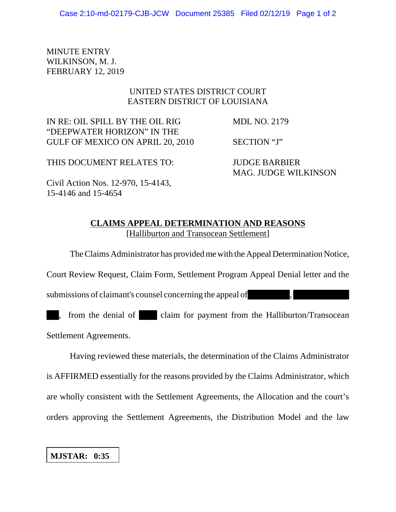MINUTE ENTRY WILKINSON, M. J. FEBRUARY 12, 2019

## UNITED STATES DISTRICT COURT EASTERN DISTRICT OF LOUISIANA

IN RE: OIL SPILL BY THE OIL RIG MDL NO. 2179 "DEEPWATER HORIZON" IN THE GULF OF MEXICO ON APRIL 20, 2010 SECTION "J"

MAG. JUDGE WILKINSON

THIS DOCUMENT RELATES TO: JUDGE BARBIER

Civil Action Nos. 12-970, 15-4143, 15-4146 and 15-4654

## **CLAIMS APPEAL DETERMINATION AND REASONS** [Halliburton and Transocean Settlement]

The Claims Administrator has provided me with the Appeal Determination Notice,

Court Review Request, Claim Form, Settlement Program Appeal Denial letter and the

submissions of claimant's counsel concerning the appeal of

, from the denial of claim for payment from the Halliburton/Transocean Settlement Agreements.

Having reviewed these materials, the determination of the Claims Administrator is AFFIRMED essentially for the reasons provided by the Claims Administrator, which are wholly consistent with the Settlement Agreements, the Allocation and the court's orders approving the Settlement Agreements, the Distribution Model and the law

**MJSTAR: 0:35**